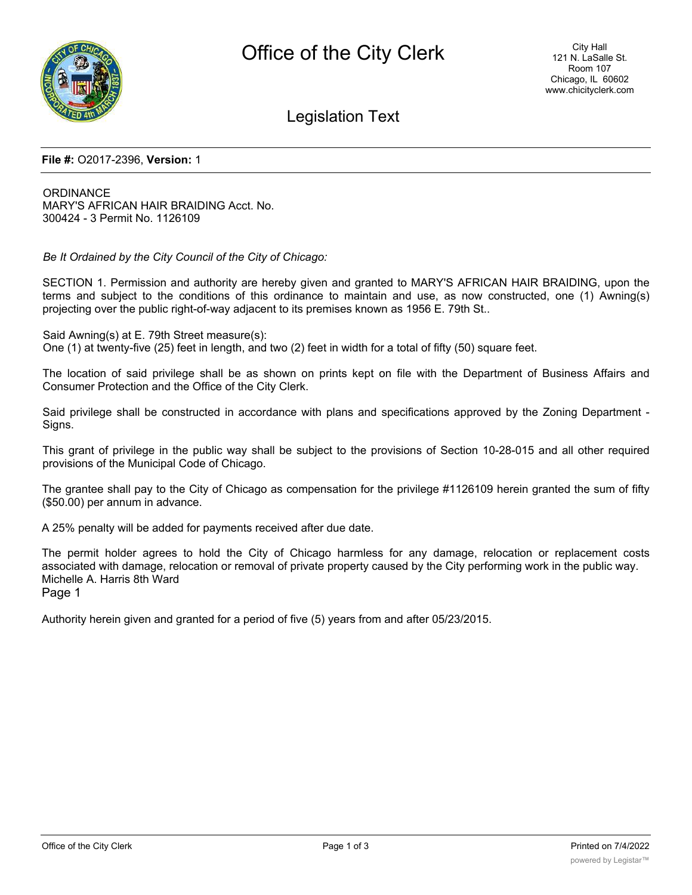

# Legislation Text

#### **File #:** O2017-2396, **Version:** 1

ORDINANCE MARY'S AFRICAN HAIR BRAIDING Acct. No. 300424 - 3 Permit No. 1126109

*Be It Ordained by the City Council of the City of Chicago:*

SECTION 1. Permission and authority are hereby given and granted to MARY'S AFRICAN HAIR BRAIDING, upon the terms and subject to the conditions of this ordinance to maintain and use, as now constructed, one (1) Awning(s) projecting over the public right-of-way adjacent to its premises known as 1956 E. 79th St..

Said Awning(s) at E. 79th Street measure(s):

One (1) at twenty-five (25) feet in length, and two (2) feet in width for a total of fifty (50) square feet.

The location of said privilege shall be as shown on prints kept on file with the Department of Business Affairs and Consumer Protection and the Office of the City Clerk.

Said privilege shall be constructed in accordance with plans and specifications approved by the Zoning Department - Signs.

This grant of privilege in the public way shall be subject to the provisions of Section 10-28-015 and all other required provisions of the Municipal Code of Chicago.

The grantee shall pay to the City of Chicago as compensation for the privilege #1126109 herein granted the sum of fifty (\$50.00) per annum in advance.

A 25% penalty will be added for payments received after due date.

The permit holder agrees to hold the City of Chicago harmless for any damage, relocation or replacement costs associated with damage, relocation or removal of private property caused by the City performing work in the public way. Michelle A. Harris 8th Ward

Page 1

Authority herein given and granted for a period of five (5) years from and after 05/23/2015.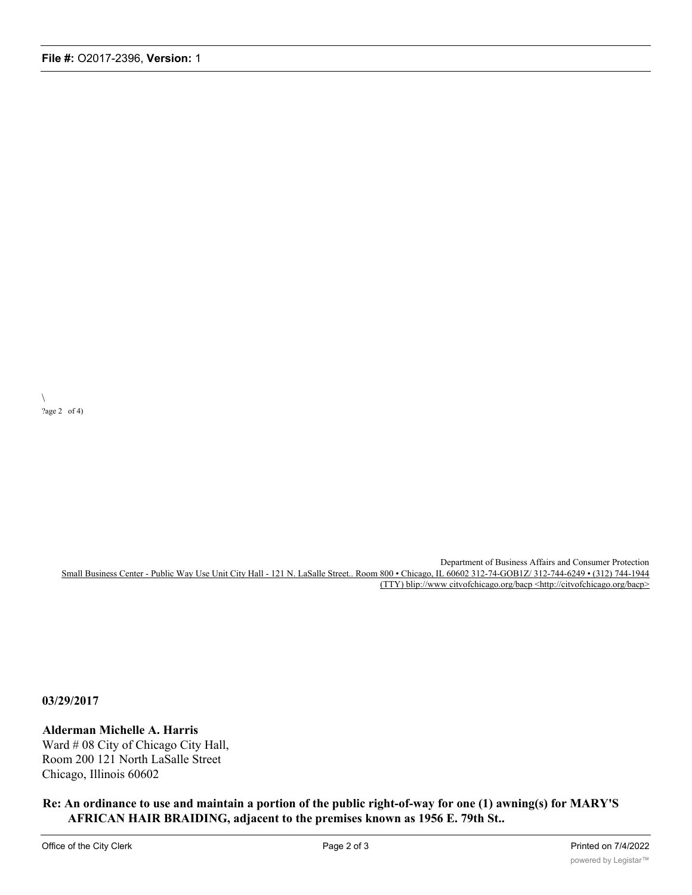Department of Business Affairs and Consumer Protection Small Business Center - Public Way Use Unit City Hall - 121 N. LaSalle Street.. Room 800 • Chicago, IL 60602 312-74-GOB1Z/ 312-744-6249 • (312) 744-1944 (TTY) blip://www citvofchicago.org/bacp <http://citvofchicago.org/bacp>

**03/29/2017**

## **Alderman Michelle A. Harris**

Ward # 08 City of Chicago City Hall, Room 200 121 North LaSalle Street Chicago, Illinois 60602

**Re: An ordinance to use and maintain a portion of the public right-of-way for one (1) awning(s) for MARY'S AFRICAN HAIR BRAIDING, adjacent to the premises known as 1956 E. 79th St..**